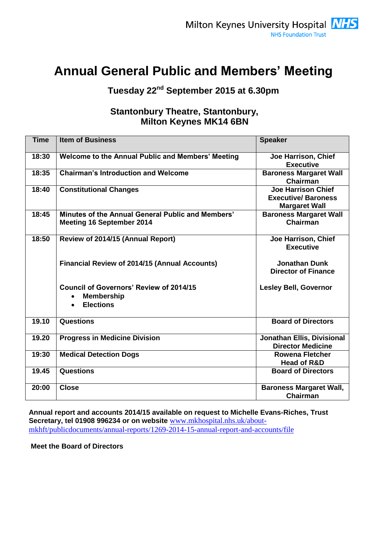# **Annual General Public and Members' Meeting**

# **Tuesday 22nd September 2015 at 6.30pm**

### **Stantonbury Theatre, Stantonbury, Milton Keynes MK14 6BN**

| <b>Time</b> | <b>Item of Business</b>                                                                 | <b>Speaker</b>                                                                 |
|-------------|-----------------------------------------------------------------------------------------|--------------------------------------------------------------------------------|
| 18:30       | Welcome to the Annual Public and Members' Meeting                                       | Joe Harrison, Chief<br><b>Executive</b>                                        |
| 18:35       | <b>Chairman's Introduction and Welcome</b>                                              | <b>Baroness Margaret Wall</b><br><b>Chairman</b>                               |
| 18:40       | <b>Constitutional Changes</b>                                                           | <b>Joe Harrison Chief</b><br><b>Executive/Baroness</b><br><b>Margaret Wall</b> |
| 18:45       | Minutes of the Annual General Public and Members'<br><b>Meeting 16 September 2014</b>   | <b>Baroness Margaret Wall</b><br>Chairman                                      |
| 18:50       | Review of 2014/15 (Annual Report)                                                       | Joe Harrison, Chief<br><b>Executive</b>                                        |
|             | <b>Financial Review of 2014/15 (Annual Accounts)</b>                                    | <b>Jonathan Dunk</b><br><b>Director of Finance</b>                             |
|             | <b>Council of Governors' Review of 2014/15</b><br><b>Membership</b><br><b>Elections</b> | <b>Lesley Bell, Governor</b>                                                   |
| 19.10       | <b>Questions</b>                                                                        | <b>Board of Directors</b>                                                      |
| 19.20       | <b>Progress in Medicine Division</b>                                                    | Jonathan Ellis, Divisional<br><b>Director Medicine</b>                         |
| 19:30       | <b>Medical Detection Dogs</b>                                                           | <b>Rowena Fletcher</b><br><b>Head of R&amp;D</b>                               |
| 19.45       | <b>Questions</b>                                                                        | <b>Board of Directors</b>                                                      |
| 20:00       | <b>Close</b>                                                                            | <b>Baroness Margaret Wall,</b><br>Chairman                                     |

**Annual report and accounts 2014/15 available on request to Michelle Evans-Riches, Trust Secretary, tel 01908 996234 or on website** [www.mkhospital.nhs.uk/about](http://www.mkhospital.nhs.uk/about-mkhft/publicdocuments/annual-reports/1269-2014-15-annual-report-and-accounts/file)[mkhft/publicdocuments/annual-reports/1269-2014-15-annual-report-and-accounts/file](http://www.mkhospital.nhs.uk/about-mkhft/publicdocuments/annual-reports/1269-2014-15-annual-report-and-accounts/file)

**Meet the Board of Directors**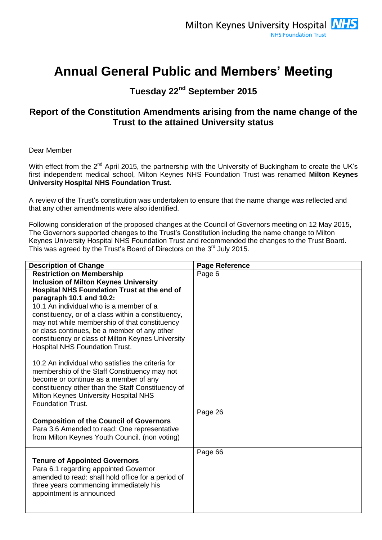# **Annual General Public and Members' Meeting**

## **Tuesday 22nd September 2015**

## **Report of the Constitution Amendments arising from the name change of the Trust to the attained University status**

Dear Member

With effect from the 2<sup>nd</sup> April 2015, the partnership with the University of Buckingham to create the UK's first independent medical school, Milton Keynes NHS Foundation Trust was renamed **Milton Keynes University Hospital NHS Foundation Trust**.

A review of the Trust's constitution was undertaken to ensure that the name change was reflected and that any other amendments were also identified.

Following consideration of the proposed changes at the Council of Governors meeting on 12 May 2015, The Governors supported changes to the Trust's Constitution including the name change to Milton Keynes University Hospital NHS Foundation Trust and recommended the changes to the Trust Board. This was agreed by the Trust's Board of Directors on the 3<sup>rd</sup> July 2015.

| <b>Description of Change</b>                                                                | <b>Page Reference</b> |
|---------------------------------------------------------------------------------------------|-----------------------|
| <b>Restriction on Membership</b>                                                            | Page 6                |
| <b>Inclusion of Milton Keynes University</b>                                                |                       |
| Hospital NHS Foundation Trust at the end of                                                 |                       |
| paragraph 10.1 and 10.2:                                                                    |                       |
| 10.1 An individual who is a member of a                                                     |                       |
| constituency, or of a class within a constituency,                                          |                       |
| may not while membership of that constituency                                               |                       |
| or class continues, be a member of any other                                                |                       |
| constituency or class of Milton Keynes University                                           |                       |
| <b>Hospital NHS Foundation Trust.</b>                                                       |                       |
| 10.2 An individual who satisfies the criteria for                                           |                       |
| membership of the Staff Constituency may not                                                |                       |
| become or continue as a member of any                                                       |                       |
| constituency other than the Staff Constituency of                                           |                       |
| Milton Keynes University Hospital NHS                                                       |                       |
| <b>Foundation Trust.</b>                                                                    |                       |
|                                                                                             | Page 26               |
| <b>Composition of the Council of Governors</b>                                              |                       |
| Para 3.6 Amended to read: One representative                                                |                       |
| from Milton Keynes Youth Council. (non voting)                                              |                       |
|                                                                                             |                       |
|                                                                                             | Page 66               |
| <b>Tenure of Appointed Governors</b>                                                        |                       |
| Para 6.1 regarding appointed Governor<br>amended to read: shall hold office for a period of |                       |
| three years commencing immediately his                                                      |                       |
| appointment is announced                                                                    |                       |
|                                                                                             |                       |
|                                                                                             |                       |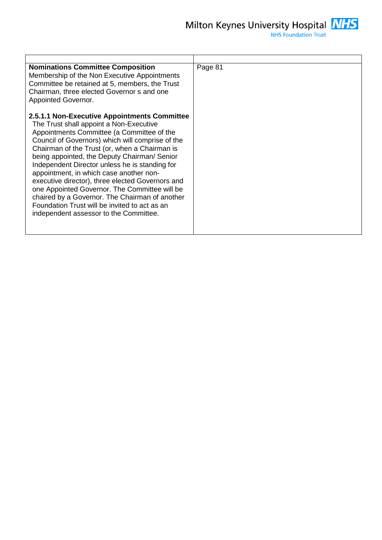

| <b>Nominations Committee Composition</b><br>Membership of the Non Executive Appointments<br>Committee be retained at 5, members, the Trust<br>Chairman, three elected Governor s and one<br>Appointed Governor.                                                                                                                                                                                                                                                                                                                                                                                                                           | Page 81 |
|-------------------------------------------------------------------------------------------------------------------------------------------------------------------------------------------------------------------------------------------------------------------------------------------------------------------------------------------------------------------------------------------------------------------------------------------------------------------------------------------------------------------------------------------------------------------------------------------------------------------------------------------|---------|
| 2.5.1.1 Non-Executive Appointments Committee<br>The Trust shall appoint a Non-Executive<br>Appointments Committee (a Committee of the<br>Council of Governors) which will comprise of the<br>Chairman of the Trust (or, when a Chairman is<br>being appointed, the Deputy Chairman/ Senior<br>Independent Director unless he is standing for<br>appointment, in which case another non-<br>executive director), three elected Governors and<br>one Appointed Governor. The Committee will be<br>chaired by a Governor. The Chairman of another<br>Foundation Trust will be invited to act as an<br>independent assessor to the Committee. |         |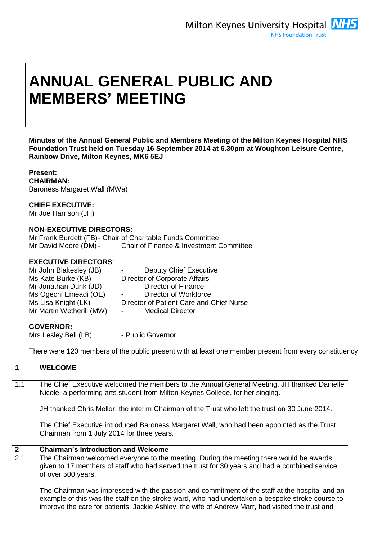# **ANNUAL GENERAL PUBLIC AND MEMBERS' MEETING**

**Minutes of the Annual General Public and Members Meeting of the Milton Keynes Hospital NHS Foundation Trust held on Tuesday 16 September 2014 at 6.30pm at Woughton Leisure Centre, Rainbow Drive, Milton Keynes, MK6 5EJ**

**Present: CHAIRMAN:**  Baroness Margaret Wall (MWa)

### **CHIEF EXECUTIVE:**

Mr Joe Harrison (JH)

### **NON-EXECUTIVE DIRECTORS:**

Mr Frank Burdett (FB)- Chair of Charitable Funds Committee Mr David Moore (DM) - Chair of Finance & Investment Committee

### **EXECUTIVE DIRECTORS**:

| Mr John Blakesley (JB)   | <b>Deputy Chief Executive</b>                      |
|--------------------------|----------------------------------------------------|
| Ms Kate Burke (KB) -     | Director of Corporate Affairs                      |
| Mr Jonathan Dunk (JD)    | Director of Finance<br>$\sim 100$                  |
| Ms Ogechi Emeadi (OE)    | Director of Workforce<br>$\sim 100$                |
| Ms Lisa Knight (LK) -    | Director of Patient Care and Chief Nurse           |
| Mr Martin Wetherill (MW) | <b>Medical Director</b><br>$\sim 100$ km s $^{-1}$ |
|                          |                                                    |

#### **GOVERNOR:**

Mrs Lesley Bell (LB) - Public Governor

There were 120 members of the public present with at least one member present from every constituency

| $\overline{1}$ | <b>WELCOME</b>                                                                                                                                                                                                                                                                                        |
|----------------|-------------------------------------------------------------------------------------------------------------------------------------------------------------------------------------------------------------------------------------------------------------------------------------------------------|
| 1.1            | The Chief Executive welcomed the members to the Annual General Meeting. JH thanked Danielle<br>Nicole, a performing arts student from Milton Keynes College, for her singing.                                                                                                                         |
|                | JH thanked Chris Mellor, the interim Chairman of the Trust who left the trust on 30 June 2014.                                                                                                                                                                                                        |
|                | The Chief Executive introduced Baroness Margaret Wall, who had been appointed as the Trust<br>Chairman from 1 July 2014 for three years.                                                                                                                                                              |
| $\overline{2}$ | <b>Chairman's Introduction and Welcome</b>                                                                                                                                                                                                                                                            |
| 2.1            | The Chairman welcomed everyone to the meeting. During the meeting there would be awards<br>given to 17 members of staff who had served the trust for 30 years and had a combined service<br>of over 500 years.                                                                                        |
|                | The Chairman was impressed with the passion and commitment of the staff at the hospital and an<br>example of this was the staff on the stroke ward, who had undertaken a bespoke stroke course to<br>improve the care for patients. Jackie Ashley, the wife of Andrew Marr, had visited the trust and |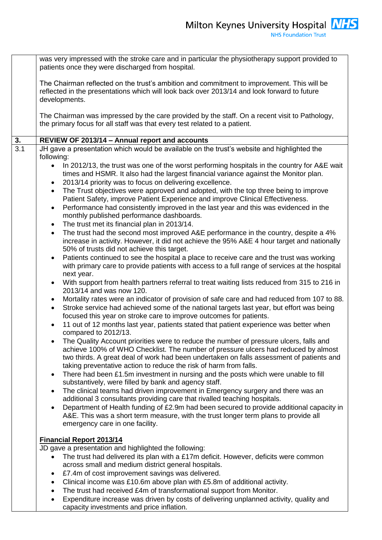was very impressed with the stroke care and in particular the physiotherapy support provided to patients once they were discharged from hospital. The Chairman reflected on the trust's ambition and commitment to improvement. This will be reflected in the presentations which will look back over 2013/14 and look forward to future developments. The Chairman was impressed by the care provided by the staff. On a recent visit to Pathology, the primary focus for all staff was that every test related to a patient. **3. REVIEW OF 2013/14 – Annual report and accounts**  3.1 JH gave a presentation which would be available on the trust's website and highlighted the following: • In 2012/13, the trust was one of the worst performing hospitals in the country for A&E wait times and HSMR. It also had the largest financial variance against the Monitor plan. 2013/14 priority was to focus on delivering excellence. The Trust objectives were approved and adopted, with the top three being to improve Patient Safety, improve Patient Experience and improve Clinical Effectiveness. Performance had consistently improved in the last year and this was evidenced in the monthly published performance dashboards. The trust met its financial plan in 2013/14. The trust had the second most improved A&E performance in the country, despite a 4% increase in activity. However, it did not achieve the 95% A&E 4 hour target and nationally 50% of trusts did not achieve this target. Patients continued to see the hospital a place to receive care and the trust was working with primary care to provide patients with access to a full range of services at the hospital next year. With support from health partners referral to treat waiting lists reduced from 315 to 216 in 2013/14 and was now 120. Mortality rates were an indicator of provision of safe care and had reduced from 107 to 88. Stroke service had achieved some of the national targets last year, but effort was being focused this year on stroke care to improve outcomes for patients. 11 out of 12 months last year, patients stated that patient experience was better when compared to 2012/13. The Quality Account priorities were to reduce the number of pressure ulcers, falls and achieve 100% of WHO Checklist. The number of pressure ulcers had reduced by almost two thirds. A great deal of work had been undertaken on falls assessment of patients and taking preventative action to reduce the risk of harm from falls. There had been £1.5m investment in nursing and the posts which were unable to fill substantively, were filled by bank and agency staff. The clinical teams had driven improvement in Emergency surgery and there was an additional 3 consultants providing care that rivalled teaching hospitals. Department of Health funding of £2.9m had been secured to provide additional capacity in A&E. This was a short term measure, with the trust longer term plans to provide all emergency care in one facility. **Financial Report 2013/14** JD gave a presentation and highlighted the following: The trust had delivered its plan with a £17m deficit. However, deficits were common across small and medium district general hospitals. £7.4m of cost improvement savings was delivered. Clinical income was £10.6m above plan with £5.8m of additional activity. The trust had received £4m of transformational support from Monitor. Expenditure increase was driven by costs of delivering unplanned activity, quality and capacity investments and price inflation.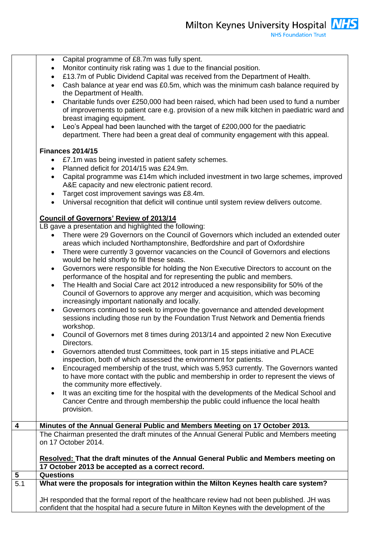|                         | Capital programme of £8.7m was fully spent.<br>$\bullet$                                                                                                                        |  |
|-------------------------|---------------------------------------------------------------------------------------------------------------------------------------------------------------------------------|--|
|                         | Monitor continuity risk rating was 1 due to the financial position.<br>$\bullet$<br>£13.7m of Public Dividend Capital was received from the Department of Health.               |  |
|                         | Cash balance at year end was £0.5m, which was the minimum cash balance required by<br>$\bullet$                                                                                 |  |
|                         | the Department of Health.                                                                                                                                                       |  |
|                         | Charitable funds over £250,000 had been raised, which had been used to fund a number<br>$\bullet$                                                                               |  |
|                         | of improvements to patient care e.g. provision of a new milk kitchen in paediatric ward and                                                                                     |  |
|                         | breast imaging equipment.                                                                                                                                                       |  |
|                         | Leo's Appeal had been launched with the target of £200,000 for the paediatric<br>$\bullet$<br>department. There had been a great deal of community engagement with this appeal. |  |
|                         |                                                                                                                                                                                 |  |
|                         | <b>Finances 2014/15</b>                                                                                                                                                         |  |
|                         | £7.1m was being invested in patient safety schemes.                                                                                                                             |  |
|                         | Planned deficit for 2014/15 was £24.9m.<br>$\bullet$                                                                                                                            |  |
|                         | Capital programme was £14m which included investment in two large schemes, improved                                                                                             |  |
|                         | A&E capacity and new electronic patient record.                                                                                                                                 |  |
|                         | Target cost improvement savings was £8.4m.<br>$\bullet$<br>Universal recognition that deficit will continue until system review delivers outcome.<br>$\bullet$                  |  |
|                         |                                                                                                                                                                                 |  |
|                         | <b>Council of Governors' Review of 2013/14</b>                                                                                                                                  |  |
|                         | LB gave a presentation and highlighted the following:                                                                                                                           |  |
|                         | There were 29 Governors on the Council of Governors which included an extended outer                                                                                            |  |
|                         | areas which included Northamptonshire, Bedfordshire and part of Oxfordshire<br>There were currently 3 governor vacancies on the Council of Governors and elections<br>$\bullet$ |  |
|                         | would be held shortly to fill these seats.                                                                                                                                      |  |
|                         | Governors were responsible for holding the Non Executive Directors to account on the<br>$\bullet$                                                                               |  |
|                         | performance of the hospital and for representing the public and members.                                                                                                        |  |
|                         | The Health and Social Care act 2012 introduced a new responsibility for 50% of the<br>$\bullet$                                                                                 |  |
|                         | Council of Governors to approve any merger and acquisition, which was becoming<br>increasingly important nationally and locally.                                                |  |
|                         | Governors continued to seek to improve the governance and attended development<br>$\bullet$                                                                                     |  |
|                         | sessions including those run by the Foundation Trust Network and Dementia friends                                                                                               |  |
|                         | workshop.                                                                                                                                                                       |  |
|                         | Council of Governors met 8 times during 2013/14 and appointed 2 new Non Executive<br>$\bullet$                                                                                  |  |
|                         | Directors.                                                                                                                                                                      |  |
|                         | Governors attended trust Committees, took part in 15 steps initiative and PLACE<br>$\bullet$<br>inspection, both of which assessed the environment for patients.                |  |
|                         | Encouraged membership of the trust, which was 5,953 currently. The Governors wanted<br>$\bullet$                                                                                |  |
|                         | to have more contact with the public and membership in order to represent the views of                                                                                          |  |
|                         | the community more effectively.                                                                                                                                                 |  |
|                         | It was an exciting time for the hospital with the developments of the Medical School and<br>$\bullet$                                                                           |  |
|                         | Cancer Centre and through membership the public could influence the local health                                                                                                |  |
|                         | provision.                                                                                                                                                                      |  |
| $\overline{\mathbf{4}}$ | Minutes of the Annual General Public and Members Meeting on 17 October 2013.                                                                                                    |  |
|                         | The Chairman presented the draft minutes of the Annual General Public and Members meeting                                                                                       |  |
|                         | on 17 October 2014.                                                                                                                                                             |  |
|                         | Resolved: That the draft minutes of the Annual General Public and Members meeting on                                                                                            |  |
|                         | 17 October 2013 be accepted as a correct record.                                                                                                                                |  |
| 5                       | <b>Questions</b>                                                                                                                                                                |  |
| 5.1                     | What were the proposals for integration within the Milton Keynes health care system?                                                                                            |  |
|                         | JH responded that the formal report of the healthcare review had not been published. JH was                                                                                     |  |
|                         | confident that the hospital had a secure future in Milton Keynes with the development of the                                                                                    |  |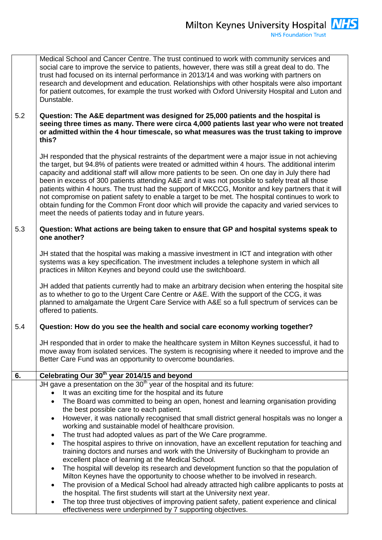|     | Medical School and Cancer Centre. The trust continued to work with community services and<br>social care to improve the service to patients, however, there was still a great deal to do. The<br>trust had focused on its internal performance in 2013/14 and was working with partners on<br>research and development and education. Relationships with other hospitals were also important<br>for patient outcomes, for example the trust worked with Oxford University Hospital and Luton and<br>Dunstable.                                                                                                                                                                                                                                                                  |
|-----|---------------------------------------------------------------------------------------------------------------------------------------------------------------------------------------------------------------------------------------------------------------------------------------------------------------------------------------------------------------------------------------------------------------------------------------------------------------------------------------------------------------------------------------------------------------------------------------------------------------------------------------------------------------------------------------------------------------------------------------------------------------------------------|
| 5.2 | Question: The A&E department was designed for 25,000 patients and the hospital is<br>seeing three times as many. There were circa 4,000 patients last year who were not treated<br>or admitted within the 4 hour timescale, so what measures was the trust taking to improve<br>this?                                                                                                                                                                                                                                                                                                                                                                                                                                                                                           |
|     | JH responded that the physical restraints of the department were a major issue in not achieving<br>the target, but 94.8% of patients were treated or admitted within 4 hours. The additional interim<br>capacity and additional staff will allow more patients to be seen. On one day in July there had<br>been in excess of 300 patients attending A&E and it was not possible to safely treat all those<br>patients within 4 hours. The trust had the support of MKCCG, Monitor and key partners that it will<br>not compromise on patient safety to enable a target to be met. The hospital continues to work to<br>obtain funding for the Common Front door which will provide the capacity and varied services to<br>meet the needs of patients today and in future years. |
| 5.3 | Question: What actions are being taken to ensure that GP and hospital systems speak to<br>one another?                                                                                                                                                                                                                                                                                                                                                                                                                                                                                                                                                                                                                                                                          |
|     | JH stated that the hospital was making a massive investment in ICT and integration with other<br>systems was a key specification. The investment includes a telephone system in which all<br>practices in Milton Keynes and beyond could use the switchboard.                                                                                                                                                                                                                                                                                                                                                                                                                                                                                                                   |
|     | JH added that patients currently had to make an arbitrary decision when entering the hospital site<br>as to whether to go to the Urgent Care Centre or A&E. With the support of the CCG, it was<br>planned to amalgamate the Urgent Care Service with A&E so a full spectrum of services can be<br>offered to patients.                                                                                                                                                                                                                                                                                                                                                                                                                                                         |
| 5.4 | Question: How do you see the health and social care economy working together?                                                                                                                                                                                                                                                                                                                                                                                                                                                                                                                                                                                                                                                                                                   |
|     | JH responded that in order to make the healthcare system in Milton Keynes successful, it had to<br>move away from isolated services. The system is recognising where it needed to improve and the<br>Better Care Fund was an opportunity to overcome boundaries.                                                                                                                                                                                                                                                                                                                                                                                                                                                                                                                |
| 6.  | Celebrating Our 30 <sup>th</sup> year 2014/15 and beyond                                                                                                                                                                                                                                                                                                                                                                                                                                                                                                                                                                                                                                                                                                                        |
|     | JH gave a presentation on the 30 <sup>th</sup> year of the hospital and its future:                                                                                                                                                                                                                                                                                                                                                                                                                                                                                                                                                                                                                                                                                             |
|     | It was an exciting time for the hospital and its future<br>The Board was committed to being an open, honest and learning organisation providing                                                                                                                                                                                                                                                                                                                                                                                                                                                                                                                                                                                                                                 |
|     | the best possible care to each patient.                                                                                                                                                                                                                                                                                                                                                                                                                                                                                                                                                                                                                                                                                                                                         |
|     | However, it was nationally recognised that small district general hospitals was no longer a<br>٠                                                                                                                                                                                                                                                                                                                                                                                                                                                                                                                                                                                                                                                                                |
|     | working and sustainable model of healthcare provision.                                                                                                                                                                                                                                                                                                                                                                                                                                                                                                                                                                                                                                                                                                                          |
|     | The trust had adopted values as part of the We Care programme.<br>٠<br>The hospital aspires to thrive on innovation, have an excellent reputation for teaching and<br>$\bullet$                                                                                                                                                                                                                                                                                                                                                                                                                                                                                                                                                                                                 |
|     | training doctors and nurses and work with the University of Buckingham to provide an<br>excellent place of learning at the Medical School.                                                                                                                                                                                                                                                                                                                                                                                                                                                                                                                                                                                                                                      |
|     | The hospital will develop its research and development function so that the population of<br>$\bullet$                                                                                                                                                                                                                                                                                                                                                                                                                                                                                                                                                                                                                                                                          |
|     | Milton Keynes have the opportunity to choose whether to be involved in research.<br>The provision of a Medical School had already attracted high calibre applicants to posts at<br>$\bullet$                                                                                                                                                                                                                                                                                                                                                                                                                                                                                                                                                                                    |
|     | the hospital. The first students will start at the University next year.                                                                                                                                                                                                                                                                                                                                                                                                                                                                                                                                                                                                                                                                                                        |
|     | The top three trust objectives of improving patient safety, patient experience and clinical<br>٠<br>effectiveness were underpinned by 7 supporting objectives.                                                                                                                                                                                                                                                                                                                                                                                                                                                                                                                                                                                                                  |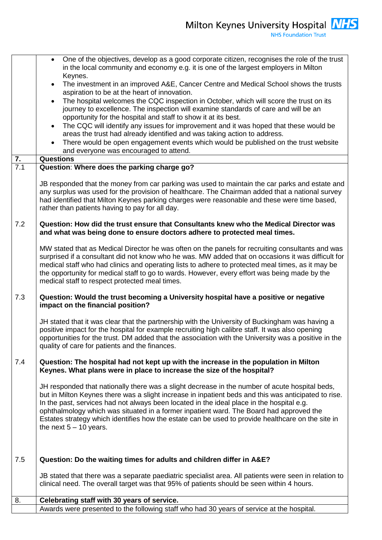|                  | One of the objectives, develop as a good corporate citizen, recognises the role of the trust<br>$\bullet$<br>in the local community and economy e.g. it is one of the largest employers in Milton                                                                                                                                                                                                                                                                                                                               |
|------------------|---------------------------------------------------------------------------------------------------------------------------------------------------------------------------------------------------------------------------------------------------------------------------------------------------------------------------------------------------------------------------------------------------------------------------------------------------------------------------------------------------------------------------------|
|                  | Keynes.                                                                                                                                                                                                                                                                                                                                                                                                                                                                                                                         |
|                  | The investment in an improved A&E, Cancer Centre and Medical School shows the trusts<br>$\bullet$<br>aspiration to be at the heart of innovation.                                                                                                                                                                                                                                                                                                                                                                               |
|                  | The hospital welcomes the CQC inspection in October, which will score the trust on its<br>$\bullet$                                                                                                                                                                                                                                                                                                                                                                                                                             |
|                  | journey to excellence. The inspection will examine standards of care and will be an                                                                                                                                                                                                                                                                                                                                                                                                                                             |
|                  | opportunity for the hospital and staff to show it at its best.                                                                                                                                                                                                                                                                                                                                                                                                                                                                  |
|                  | The CQC will identify any issues for improvement and it was hoped that these would be<br>$\bullet$                                                                                                                                                                                                                                                                                                                                                                                                                              |
|                  | areas the trust had already identified and was taking action to address.                                                                                                                                                                                                                                                                                                                                                                                                                                                        |
|                  | There would be open engagement events which would be published on the trust website                                                                                                                                                                                                                                                                                                                                                                                                                                             |
| $\overline{7}$ . | and everyone was encouraged to attend.<br><b>Questions</b>                                                                                                                                                                                                                                                                                                                                                                                                                                                                      |
| 7.1              | Question: Where does the parking charge go?                                                                                                                                                                                                                                                                                                                                                                                                                                                                                     |
|                  |                                                                                                                                                                                                                                                                                                                                                                                                                                                                                                                                 |
|                  | JB responded that the money from car parking was used to maintain the car parks and estate and<br>any surplus was used for the provision of healthcare. The Chairman added that a national survey<br>had identified that Milton Keynes parking charges were reasonable and these were time based,<br>rather than patients having to pay for all day.                                                                                                                                                                            |
| 7.2              | Question: How did the trust ensure that Consultants knew who the Medical Director was<br>and what was being done to ensure doctors adhere to protected meal times.                                                                                                                                                                                                                                                                                                                                                              |
|                  | MW stated that as Medical Director he was often on the panels for recruiting consultants and was<br>surprised if a consultant did not know who he was. MW added that on occasions it was difficult for<br>medical staff who had clinics and operating lists to adhere to protected meal times, as it may be<br>the opportunity for medical staff to go to wards. However, every effort was being made by the<br>medical staff to respect protected meal times.                                                                  |
| 7.3              | Question: Would the trust becoming a University hospital have a positive or negative<br>impact on the financial position?                                                                                                                                                                                                                                                                                                                                                                                                       |
|                  | JH stated that it was clear that the partnership with the University of Buckingham was having a<br>positive impact for the hospital for example recruiting high calibre staff. It was also opening<br>opportunities for the trust. DM added that the association with the University was a positive in the<br>quality of care for patients and the finances.                                                                                                                                                                    |
| 7.4              | Question: The hospital had not kept up with the increase in the population in Milton<br>Keynes. What plans were in place to increase the size of the hospital?                                                                                                                                                                                                                                                                                                                                                                  |
|                  | JH responded that nationally there was a slight decrease in the number of acute hospital beds,<br>but in Milton Keynes there was a slight increase in inpatient beds and this was anticipated to rise.<br>In the past, services had not always been located in the ideal place in the hospital e.g.<br>ophthalmology which was situated in a former inpatient ward. The Board had approved the<br>Estates strategy which identifies how the estate can be used to provide healthcare on the site in<br>the next $5 - 10$ years. |
| 7.5              | Question: Do the waiting times for adults and children differ in A&E?                                                                                                                                                                                                                                                                                                                                                                                                                                                           |
|                  |                                                                                                                                                                                                                                                                                                                                                                                                                                                                                                                                 |
|                  | JB stated that there was a separate paediatric specialist area. All patients were seen in relation to<br>clinical need. The overall target was that 95% of patients should be seen within 4 hours.                                                                                                                                                                                                                                                                                                                              |
| 8.               | Celebrating staff with 30 years of service.                                                                                                                                                                                                                                                                                                                                                                                                                                                                                     |
|                  | Awards were presented to the following staff who had 30 years of service at the hospital.                                                                                                                                                                                                                                                                                                                                                                                                                                       |